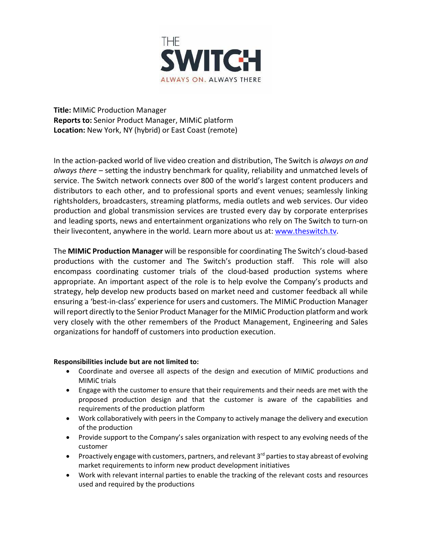

**Title:** MIMiC Production Manager **Reports to:** Senior Product Manager, MIMiC platform **Location:** New York, NY (hybrid) or East Coast (remote)

In the action-packed world of live video creation and distribution, The Switch is *always on and always there* – setting the industry benchmark for quality, reliability and unmatched levels of service. The Switch network connects over 800 of the world's largest content producers and distributors to each other, and to professional sports and event venues; seamlessly linking rightsholders, broadcasters, streaming platforms, media outlets and web services. Our video production and global transmission services are trusted every day by corporate enterprises and leading sports, news and entertainment organizations who rely on The Switch to turn-on their livecontent, anywhere in the world. Learn more about us at: [www.theswitch.tv.](http://www.theswitch.tv/)

The **MIMiC Production Manager** will be responsible for coordinating The Switch's cloud-based productions with the customer and The Switch's production staff. This role will also encompass coordinating customer trials of the cloud-based production systems where appropriate. An important aspect of the role is to help evolve the Company's products and strategy, help develop new products based on market need and customer feedback all while ensuring a 'best-in-class' experience for users and customers. The MIMiC Production Manager will report directly to the Senior Product Manager for the MIMIC Production platform and work very closely with the other remembers of the Product Management, Engineering and Sales organizations for handoff of customers into production execution.

## **Responsibilities include but are not limited to:**

- Coordinate and oversee all aspects of the design and execution of MIMiC productions and MIMiC trials
- Engage with the customer to ensure that their requirements and their needs are met with the proposed production design and that the customer is aware of the capabilities and requirements of the production platform
- Work collaboratively with peers in the Company to actively manage the delivery and execution of the production
- Provide support to the Company's sales organization with respect to any evolving needs of the customer
- Proactively engage with customers, partners, and relevant  $3<sup>rd</sup>$  parties to stay abreast of evolving market requirements to inform new product development initiatives
- Work with relevant internal parties to enable the tracking of the relevant costs and resources used and required by the productions